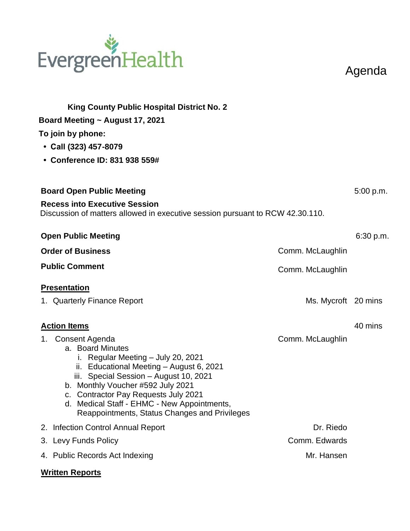# EvergreenHealth

Agenda

| <b>King County Public Hospital District No. 2</b><br>Board Meeting $\sim$ August 17, 2021<br>To join by phone:<br>• Call (323) 457-8079<br>• Conference ID: 831 938 559#                                                                                                                                                                       |                     |           |
|------------------------------------------------------------------------------------------------------------------------------------------------------------------------------------------------------------------------------------------------------------------------------------------------------------------------------------------------|---------------------|-----------|
| <b>Board Open Public Meeting</b>                                                                                                                                                                                                                                                                                                               |                     | 5:00 p.m. |
| <b>Recess into Executive Session</b><br>Discussion of matters allowed in executive session pursuant to RCW 42.30.110.                                                                                                                                                                                                                          |                     |           |
| <b>Open Public Meeting</b>                                                                                                                                                                                                                                                                                                                     |                     | 6:30 p.m. |
| <b>Order of Business</b>                                                                                                                                                                                                                                                                                                                       | Comm. McLaughlin    |           |
| <b>Public Comment</b>                                                                                                                                                                                                                                                                                                                          | Comm. McLaughlin    |           |
| <b>Presentation</b>                                                                                                                                                                                                                                                                                                                            |                     |           |
| 1. Quarterly Finance Report                                                                                                                                                                                                                                                                                                                    | Ms. Mycroft 20 mins |           |
| <b>Action Items</b>                                                                                                                                                                                                                                                                                                                            |                     | 40 mins   |
| 1. Consent Agenda<br>a. Board Minutes<br>i. Regular Meeting - July 20, 2021<br>ii. Educational Meeting - August 6, 2021<br>iii. Special Session - August 10, 2021<br>b. Monthly Voucher #592 July 2021<br>c. Contractor Pay Requests July 2021<br>d. Medical Staff - EHMC - New Appointments,<br>Reappointments, Status Changes and Privileges | Comm. McLaughlin    |           |
| 2. Infection Control Annual Report                                                                                                                                                                                                                                                                                                             | Dr. Riedo           |           |
| 3. Levy Funds Policy                                                                                                                                                                                                                                                                                                                           | Comm. Edwards       |           |
| 4. Public Records Act Indexing                                                                                                                                                                                                                                                                                                                 | Mr. Hansen          |           |
|                                                                                                                                                                                                                                                                                                                                                |                     |           |

#### **Written Reports**